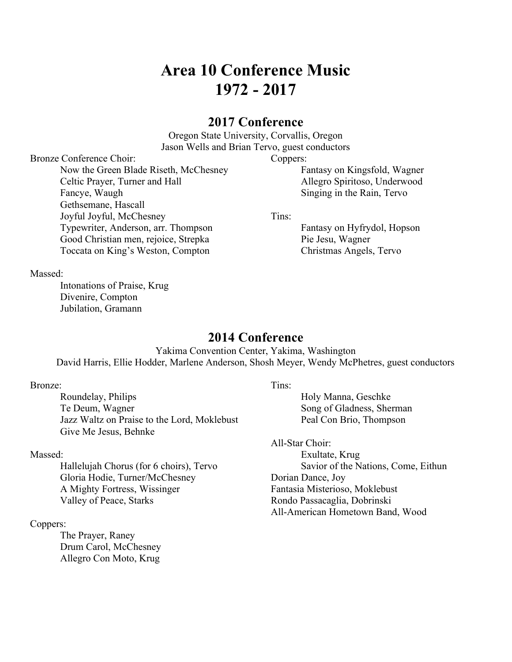# Area 10 Conference Music 1972 - 2017

# 2017 Conference

Oregon State University, Corvallis, Oregon Jason Wells and Brian Tervo, guest conductors

Coppers:

 Fantasy on Kingsfold, Wagner Allegro Spiritoso, Underwood Singing in the Rain, Tervo

Tins:

 Fantasy on Hyfrydol, Hopson Pie Jesu, Wagner Christmas Angels, Tervo

Massed:

 Intonations of Praise, Krug Divenire, Compton Jubilation, Gramann

Bronze Conference Choir:

 Fancye, Waugh Gethsemane, Hascall Joyful Joyful, McChesney

# 2014 Conference

Yakima Convention Center, Yakima, Washington David Harris, Ellie Hodder, Marlene Anderson, Shosh Meyer, Wendy McPhetres, guest conductors

#### Bronze:

 Roundelay, Philips Te Deum, Wagner Jazz Waltz on Praise to the Lord, Moklebust Give Me Jesus, Behnke

Now the Green Blade Riseth, McChesney

 Typewriter, Anderson, arr. Thompson Good Christian men, rejoice, Strepka Toccata on King's Weston, Compton

Celtic Prayer, Turner and Hall

### Massed:

 Hallelujah Chorus (for 6 choirs), Tervo Gloria Hodie, Turner/McChesney A Mighty Fortress, Wissinger Valley of Peace, Starks

### Coppers:

 The Prayer, Raney Drum Carol, McChesney Allegro Con Moto, Krug

#### Tins:

 Holy Manna, Geschke Song of Gladness, Sherman Peal Con Brio, Thompson

All-Star Choir: Exultate, Krug Savior of the Nations, Come, Eithun Dorian Dance, Joy Fantasia Misterioso, Moklebust Rondo Passacaglia, Dobrinski All-American Hometown Band, Wood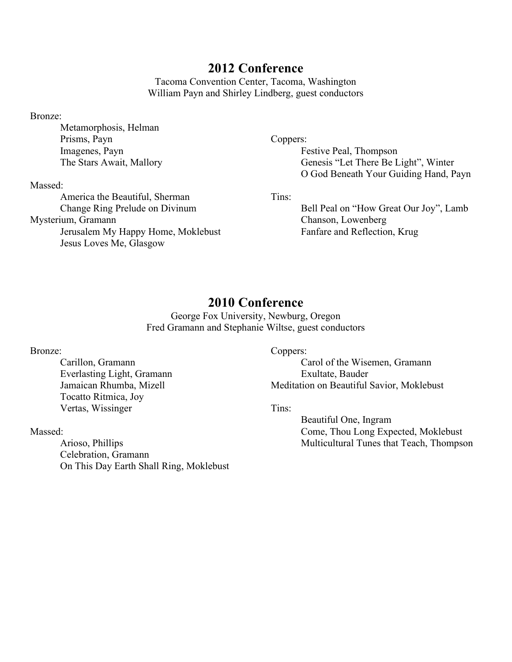Tacoma Convention Center, Tacoma, Washington William Payn and Shirley Lindberg, guest conductors

Bronze:

 Metamorphosis, Helman Prisms, Payn Imagenes, Payn The Stars Await, Mallory

Massed:

 America the Beautiful, Sherman Change Ring Prelude on Divinum Mysterium, Gramann Jerusalem My Happy Home, Moklebust Jesus Loves Me, Glasgow

Coppers:

 Festive Peal, Thompson Genesis "Let There Be Light", Winter O God Beneath Your Guiding Hand, Payn

Tins:

 Bell Peal on "How Great Our Joy", Lamb Chanson, Lowenberg Fanfare and Reflection, Krug

# 2010 Conference

George Fox University, Newburg, Oregon Fred Gramann and Stephanie Wiltse, guest conductors

### Bronze:

 Carillon, Gramann Everlasting Light, Gramann Jamaican Rhumba, Mizell Tocatto Ritmica, Joy Vertas, Wissinger

Massed:

 Arioso, Phillips Celebration, Gramann On This Day Earth Shall Ring, Moklebust Coppers:

 Carol of the Wisemen, Gramann Exultate, Bauder Meditation on Beautiful Savior, Moklebust

Tins:

 Beautiful One, Ingram Come, Thou Long Expected, Moklebust Multicultural Tunes that Teach, Thompson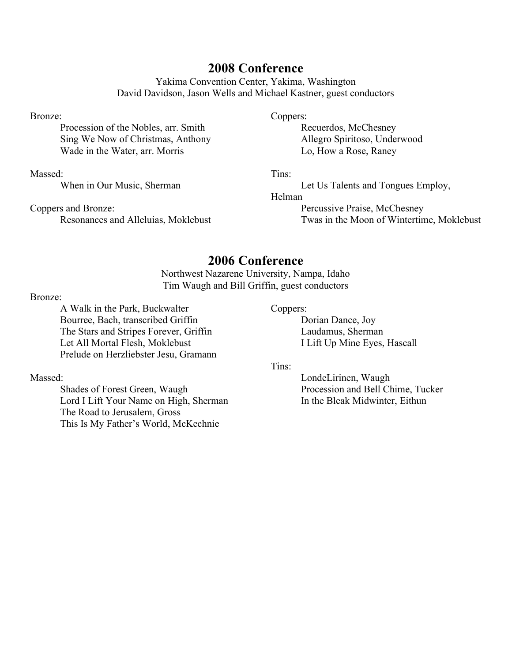Yakima Convention Center, Yakima, Washington David Davidson, Jason Wells and Michael Kastner, guest conductors

### Bronze:

 Procession of the Nobles, arr. Smith Sing We Now of Christmas, Anthony Wade in the Water, arr. Morris

### Massed:

When in Our Music, Sherman

Coppers and Bronze: Resonances and Alleluias, Moklebust

#### Coppers:

 Recuerdos, McChesney Allegro Spiritoso, Underwood Lo, How a Rose, Raney

### Tins:

Let Us Talents and Tongues Employ,

### Helman

 Percussive Praise, McChesney Twas in the Moon of Wintertime, Moklebust

# 2006 Conference

Northwest Nazarene University, Nampa, Idaho Tim Waugh and Bill Griffin, guest conductors

#### Bronze:

 A Walk in the Park, Buckwalter Bourree, Bach, transcribed Griffin The Stars and Stripes Forever, Griffin Let All Mortal Flesh, Moklebust Prelude on Herzliebster Jesu, Gramann

### Massed:

 Shades of Forest Green, Waugh Lord I Lift Your Name on High, Sherman The Road to Jerusalem, Gross This Is My Father's World, McKechnie

## Coppers:

 Dorian Dance, Joy Laudamus, Sherman I Lift Up Mine Eyes, Hascall

#### Tins:

 LondeLirinen, Waugh Procession and Bell Chime, Tucker In the Bleak Midwinter, Eithun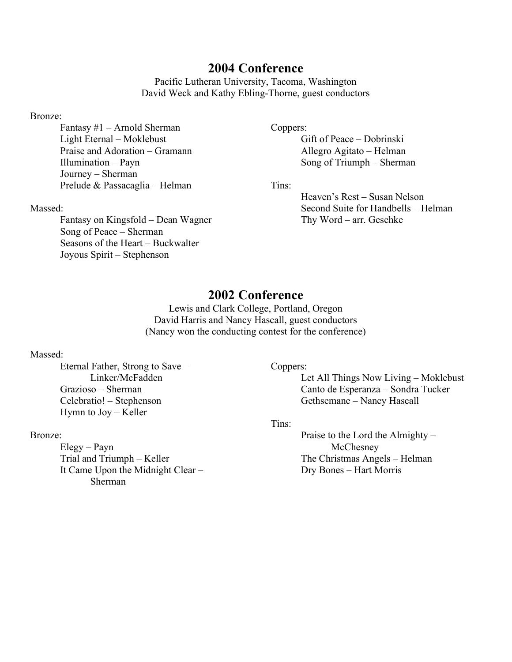Pacific Lutheran University, Tacoma, Washington David Weck and Kathy Ebling-Thorne, guest conductors

### Bronze:

 Fantasy #1 – Arnold Sherman Light Eternal – Moklebust Praise and Adoration – Gramann Illumination – Payn Journey – Sherman Prelude & Passacaglia – Helman

# Gift of Peace – Dobrinski

Coppers:

 Allegro Agitato – Helman Song of Triumph – Sherman

Tins:

 Heaven's Rest – Susan Nelson Second Suite for Handbells – Helman Thy Word – arr. Geschke

### Massed:

 Fantasy on Kingsfold – Dean Wagner Song of Peace – Sherman Seasons of the Heart – Buckwalter Joyous Spirit – Stephenson

# 2002 Conference

Lewis and Clark College, Portland, Oregon David Harris and Nancy Hascall, guest conductors (Nancy won the conducting contest for the conference)

### Massed:

 Eternal Father, Strong to Save – Linker/McFadden Grazioso – Sherman Celebratio! – Stephenson Hymn to Joy – Keller

### Bronze:

 Elegy – Payn Trial and Triumph – Keller It Came Upon the Midnight Clear – Sherman

Coppers:

 Let All Things Now Living – Moklebust Canto de Esperanza – Sondra Tucker Gethsemane – Nancy Hascall

#### Tins:

 Praise to the Lord the Almighty – **McChesney**  The Christmas Angels – Helman Dry Bones – Hart Morris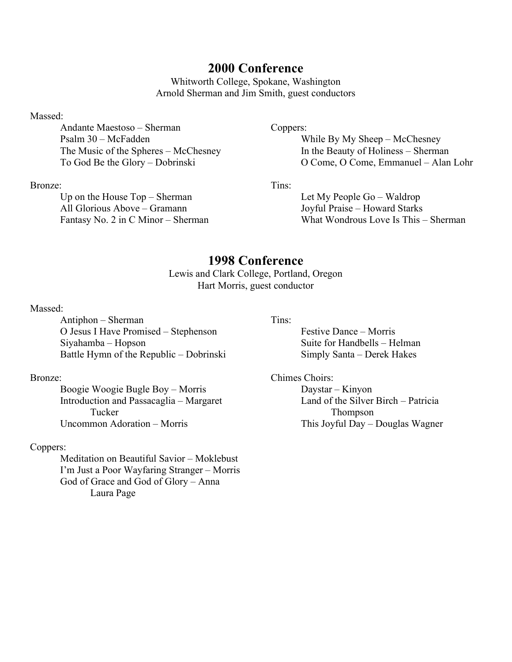Whitworth College, Spokane, Washington Arnold Sherman and Jim Smith, guest conductors

### Massed:

 Andante Maestoso – Sherman Psalm 30 – McFadden The Music of the Spheres – McChesney To God Be the Glory – Dobrinski

### Bronze:

 Up on the House Top – Sherman All Glorious Above – Gramann Fantasy No. 2 in C Minor – Sherman

### Coppers:

 While By My Sheep – McChesney In the Beauty of Holiness – Sherman O Come, O Come, Emmanuel – Alan Lohr

Tins:

 Let My People Go – Waldrop Joyful Praise – Howard Starks What Wondrous Love Is This – Sherman

# 1998 Conference

Lewis and Clark College, Portland, Oregon Hart Morris, guest conductor

### Massed:

 Antiphon – Sherman O Jesus I Have Promised – Stephenson Siyahamba – Hopson Battle Hymn of the Republic – Dobrinski

### Bronze:

 Boogie Woogie Bugle Boy – Morris Introduction and Passacaglia – Margaret Tucker Uncommon Adoration – Morris

### Coppers:

 Meditation on Beautiful Savior – Moklebust I'm Just a Poor Wayfaring Stranger – Morris God of Grace and God of Glory – Anna Laura Page

#### Tins:

 Festive Dance – Morris Suite for Handbells – Helman Simply Santa – Derek Hakes

Chimes Choirs: Daystar – Kinyon Land of the Silver Birch – Patricia Thompson This Joyful Day – Douglas Wagner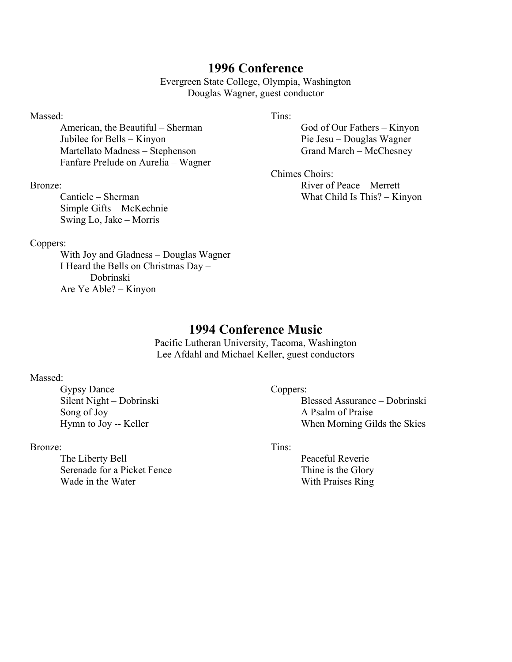Evergreen State College, Olympia, Washington Douglas Wagner, guest conductor

### Massed:

 American, the Beautiful – Sherman Jubilee for Bells – Kinyon Martellato Madness – Stephenson Fanfare Prelude on Aurelia – Wagner

### Bronze:

 Canticle – Sherman Simple Gifts – McKechnie Swing Lo, Jake – Morris

### Coppers:

 With Joy and Gladness – Douglas Wagner I Heard the Bells on Christmas Day – Dobrinski Are Ye Able? – Kinyon

### Tins:

 God of Our Fathers – Kinyon Pie Jesu – Douglas Wagner Grand March – McChesney

Chimes Choirs: River of Peace – Merrett What Child Is This? – Kinyon

# 1994 Conference Music

Pacific Lutheran University, Tacoma, Washington Lee Afdahl and Michael Keller, guest conductors

### Massed:

 Gypsy Dance Silent Night – Dobrinski Song of Joy Hymn to Joy -- Keller

## Bronze:

 The Liberty Bell Serenade for a Picket Fence Wade in the Water

# Coppers:

 Blessed Assurance – Dobrinski A Psalm of Praise When Morning Gilds the Skies

## Tins:

 Peaceful Reverie Thine is the Glory With Praises Ring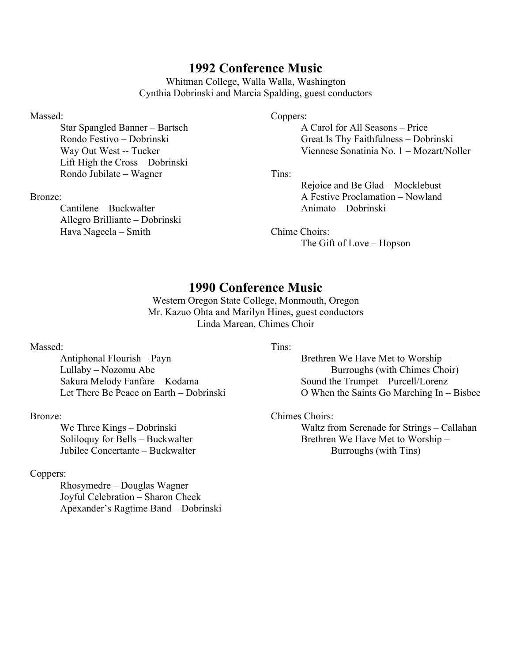Whitman College, Walla Walla, Washington Cynthia Dobrinski and Marcia Spalding, guest conductors

#### Massed:

 Star Spangled Banner – Bartsch Rondo Festivo – Dobrinski Way Out West -- Tucker Lift High the Cross – Dobrinski Rondo Jubilate – Wagner

#### Bronze:

 Cantilene – Buckwalter Allegro Brilliante – Dobrinski Hava Nageela – Smith

#### Coppers:

 A Carol for All Seasons – Price Great Is Thy Faithfulness – Dobrinski Viennese Sonatinia No. 1 – Mozart/Noller

Tins:

 Rejoice and Be Glad – Mocklebust A Festive Proclamation – Nowland Animato – Dobrinski

Chime Choirs: The Gift of Love – Hopson

# 1990 Conference Music

Western Oregon State College, Monmouth, Oregon Mr. Kazuo Ohta and Marilyn Hines, guest conductors Linda Marean, Chimes Choir

#### Massed:

 Antiphonal Flourish – Payn Lullaby – Nozomu Abe Sakura Melody Fanfare – Kodama Let There Be Peace on Earth – Dobrinski

#### Bronze:

 We Three Kings – Dobrinski Soliloquy for Bells – Buckwalter Jubilee Concertante – Buckwalter

#### Coppers:

 Rhosymedre – Douglas Wagner Joyful Celebration – Sharon Cheek Apexander's Ragtime Band – Dobrinski Tins:

 Brethren We Have Met to Worship – Burroughs (with Chimes Choir) Sound the Trumpet – Purcell/Lorenz O When the Saints Go Marching In – Bisbee

Chimes Choirs:

 Waltz from Serenade for Strings – Callahan Brethren We Have Met to Worship – Burroughs (with Tins)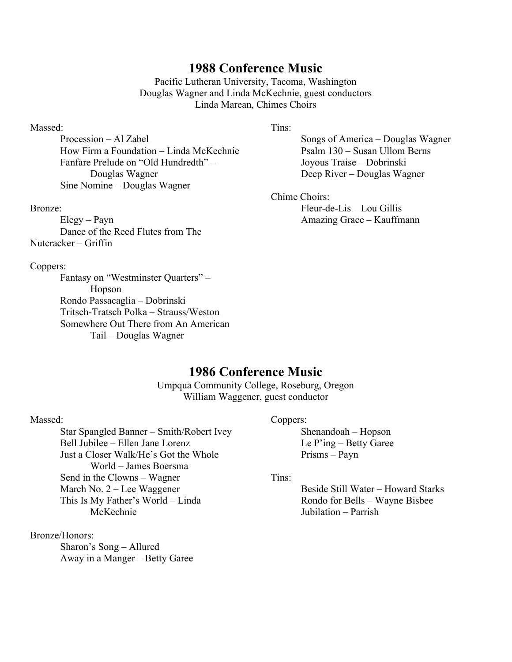Pacific Lutheran University, Tacoma, Washington Douglas Wagner and Linda McKechnie, guest conductors Linda Marean, Chimes Choirs

### Massed:

 Procession – Al Zabel How Firm a Foundation – Linda McKechnie Fanfare Prelude on "Old Hundredth" – Douglas Wagner Sine Nomine – Douglas Wagner

#### Bronze:

 Elegy – Payn Dance of the Reed Flutes from The Nutcracker – Griffin

#### Coppers:

 Fantasy on "Westminster Quarters" – Hopson Rondo Passacaglia – Dobrinski Tritsch-Tratsch Polka – Strauss/Weston Somewhere Out There from An American Tail – Douglas Wagner

#### Tins:

 Songs of America – Douglas Wagner Psalm 130 – Susan Ullom Berns Joyous Traise – Dobrinski Deep River – Douglas Wagner

#### Chime Choirs:

 Fleur-de-Lis – Lou Gillis Amazing Grace – Kauffmann

# 1986 Conference Music

Umpqua Community College, Roseburg, Oregon William Waggener, guest conductor

#### Massed:

 Star Spangled Banner – Smith/Robert Ivey Bell Jubilee – Ellen Jane Lorenz Just a Closer Walk/He's Got the Whole World – James Boersma Send in the Clowns – Wagner March No. 2 – Lee Waggener This Is My Father's World – Linda McKechnie

Bronze/Honors:

 Sharon's Song – Allured Away in a Manger – Betty Garee

#### Coppers:

 Shenandoah – Hopson Le P'ing – Betty Garee Prisms – Payn

Tins:

 Beside Still Water – Howard Starks Rondo for Bells – Wayne Bisbee Jubilation – Parrish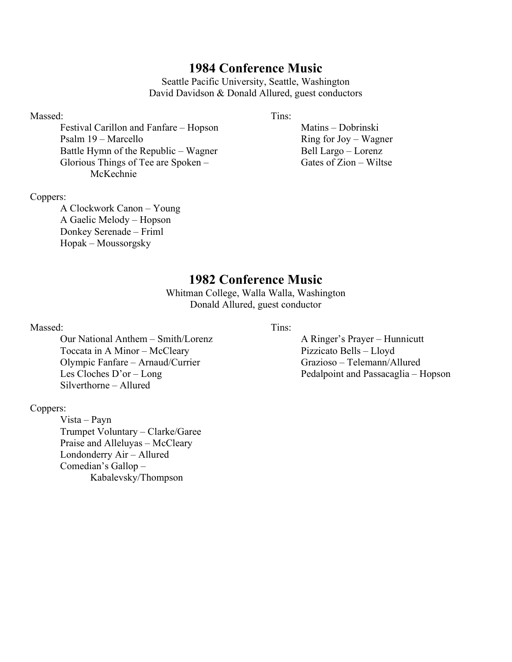Seattle Pacific University, Seattle, Washington David Davidson & Donald Allured, guest conductors

### Massed:

 Festival Carillon and Fanfare – Hopson Psalm 19 – Marcello Battle Hymn of the Republic – Wagner Glorious Things of Tee are Spoken – McKechnie

#### Tins:

 Matins – Dobrinski Ring for Joy – Wagner Bell Largo – Lorenz Gates of Zion – Wiltse

### Coppers:

 A Clockwork Canon – Young A Gaelic Melody – Hopson Donkey Serenade – Friml Hopak – Moussorgsky

# 1982 Conference Music

Whitman College, Walla Walla, Washington Donald Allured, guest conductor

#### Massed:

 Our National Anthem – Smith/Lorenz Toccata in A Minor – McCleary Olympic Fanfare – Arnaud/Currier Les Cloches D'or – Long Silverthorne – Allured

### Coppers:

 Vista – Payn Trumpet Voluntary – Clarke/Garee Praise and Alleluyas – McCleary Londonderry Air – Allured Comedian's Gallop – Kabalevsky/Thompson

#### Tins:

 A Ringer's Prayer – Hunnicutt Pizzicato Bells – Lloyd Grazioso – Telemann/Allured Pedalpoint and Passacaglia – Hopson